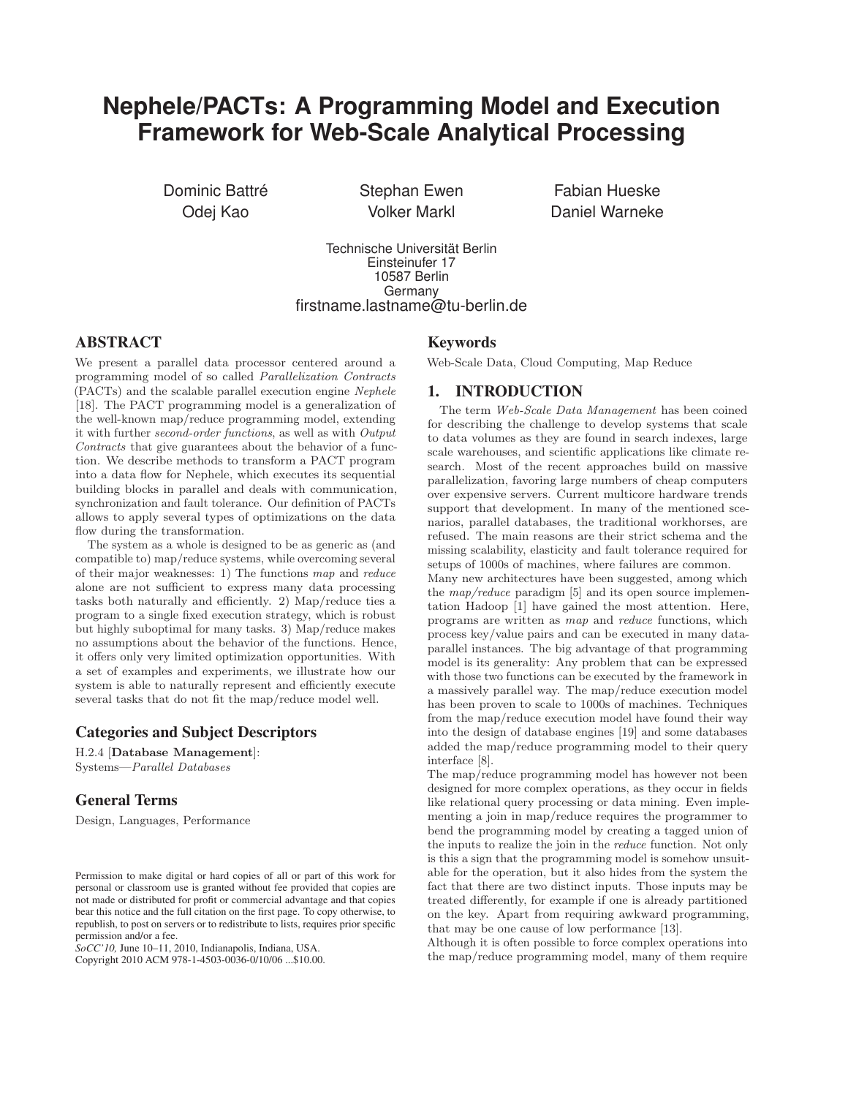# **Nephele/PACTs: A Programming Model and Execution Framework for Web-Scale Analytical Processing**

Dominic Battré **Stephan Ewen** Fabian Hueske

Odej Kao **Volker Markl** Daniel Warneke

Technische Universität Berlin Einsteinufer 17 10587 Berlin Germany firstname.lastname@tu-berlin.de

# ABSTRACT

We present a parallel data processor centered around a programming model of so called Parallelization Contracts (PACTs) and the scalable parallel execution engine Nephele [18]. The PACT programming model is a generalization of the well-known map/reduce programming model, extending it with further second-order functions, as well as with Output Contracts that give guarantees about the behavior of a function. We describe methods to transform a PACT program into a data flow for Nephele, which executes its sequential building blocks in parallel and deals with communication, synchronization and fault tolerance. Our definition of PACTs allows to apply several types of optimizations on the data flow during the transformation.

The system as a whole is designed to be as generic as (and compatible to) map/reduce systems, while overcoming several of their major weaknesses: 1) The functions map and reduce alone are not sufficient to express many data processing tasks both naturally and efficiently. 2) Map/reduce ties a program to a single fixed execution strategy, which is robust but highly suboptimal for many tasks. 3) Map/reduce makes no assumptions about the behavior of the functions. Hence, it offers only very limited optimization opportunities. With a set of examples and experiments, we illustrate how our system is able to naturally represent and efficiently execute several tasks that do not fit the map/reduce model well.

# Categories and Subject Descriptors

H.2.4 [**Database Management**]: Systems—Parallel Databases

# General Terms

Design, Languages, Performance

*SoCC'10,* June 10–11, 2010, Indianapolis, Indiana, USA. Copyright 2010 ACM 978-1-4503-0036-0/10/06 ...\$10.00.

#### Keywords

Web-Scale Data, Cloud Computing, Map Reduce

# 1. INTRODUCTION

The term Web-Scale Data Management has been coined for describing the challenge to develop systems that scale to data volumes as they are found in search indexes, large scale warehouses, and scientific applications like climate research. Most of the recent approaches build on massive parallelization, favoring large numbers of cheap computers over expensive servers. Current multicore hardware trends support that development. In many of the mentioned scenarios, parallel databases, the traditional workhorses, are refused. The main reasons are their strict schema and the missing scalability, elasticity and fault tolerance required for setups of 1000s of machines, where failures are common.

Many new architectures have been suggested, among which the map/reduce paradigm [5] and its open source implementation Hadoop [1] have gained the most attention. Here, programs are written as map and reduce functions, which process key/value pairs and can be executed in many dataparallel instances. The big advantage of that programming model is its generality: Any problem that can be expressed with those two functions can be executed by the framework in a massively parallel way. The map/reduce execution model has been proven to scale to 1000s of machines. Techniques from the map/reduce execution model have found their way into the design of database engines [19] and some databases added the map/reduce programming model to their query interface [8].

The map/reduce programming model has however not been designed for more complex operations, as they occur in fields like relational query processing or data mining. Even implementing a join in map/reduce requires the programmer to bend the programming model by creating a tagged union of the inputs to realize the join in the reduce function. Not only is this a sign that the programming model is somehow unsuitable for the operation, but it also hides from the system the fact that there are two distinct inputs. Those inputs may be treated differently, for example if one is already partitioned on the key. Apart from requiring awkward programming, that may be one cause of low performance [13].

Although it is often possible to force complex operations into the map/reduce programming model, many of them require

Permission to make digital or hard copies of all or part of this work for personal or classroom use is granted without fee provided that copies are not made or distributed for profit or commercial advantage and that copies bear this notice and the full citation on the first page. To copy otherwise, to republish, to post on servers or to redistribute to lists, requires prior specific permission and/or a fee.<br> $S_0CC'10$ . June 10–11, 2010. Indianapolis. Indiana. USA.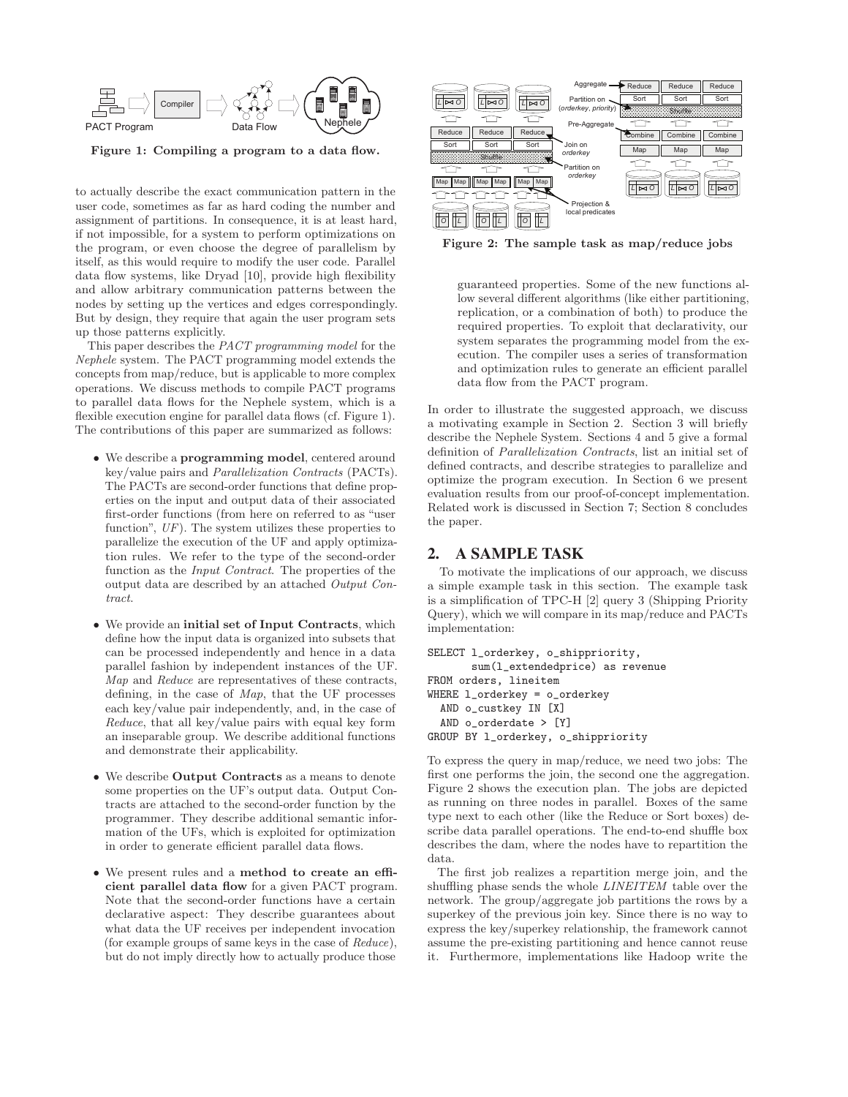

**Figure 1: Compiling a program to a data flow.**

to actually describe the exact communication pattern in the user code, sometimes as far as hard coding the number and assignment of partitions. In consequence, it is at least hard, if not impossible, for a system to perform optimizations on the program, or even choose the degree of parallelism by itself, as this would require to modify the user code. Parallel data flow systems, like Dryad [10], provide high flexibility and allow arbitrary communication patterns between the nodes by setting up the vertices and edges correspondingly. But by design, they require that again the user program sets up those patterns explicitly.

This paper describes the PACT programming model for the Nephele system. The PACT programming model extends the concepts from map/reduce, but is applicable to more complex operations. We discuss methods to compile PACT programs to parallel data flows for the Nephele system, which is a flexible execution engine for parallel data flows (cf. Figure 1). The contributions of this paper are summarized as follows:

- We describe a **programming model**, centered around key/value pairs and Parallelization Contracts (PACTs). The PACTs are second-order functions that define properties on the input and output data of their associated first-order functions (from here on referred to as "user function",  $UF$ ). The system utilizes these properties to parallelize the execution of the UF and apply optimization rules. We refer to the type of the second-order function as the Input Contract. The properties of the output data are described by an attached Output Contract.
- We provide an **initial set of Input Contracts**, which define how the input data is organized into subsets that can be processed independently and hence in a data parallel fashion by independent instances of the UF. Map and Reduce are representatives of these contracts, defining, in the case of Map, that the UF processes each key/value pair independently, and, in the case of Reduce, that all key/value pairs with equal key form an inseparable group. We describe additional functions and demonstrate their applicability.
- We describe **Output Contracts** as a means to denote some properties on the UF's output data. Output Contracts are attached to the second-order function by the programmer. They describe additional semantic information of the UFs, which is exploited for optimization in order to generate efficient parallel data flows.
- We present rules and a **method to create an efficient parallel data flow** for a given PACT program. Note that the second-order functions have a certain declarative aspect: They describe guarantees about what data the UF receives per independent invocation (for example groups of same keys in the case of Reduce), but do not imply directly how to actually produce those



**Figure 2: The sample task as map/reduce jobs**

guaranteed properties. Some of the new functions allow several different algorithms (like either partitioning, replication, or a combination of both) to produce the required properties. To exploit that declarativity, our system separates the programming model from the execution. The compiler uses a series of transformation and optimization rules to generate an efficient parallel data flow from the PACT program.

In order to illustrate the suggested approach, we discuss a motivating example in Section 2. Section 3 will briefly describe the Nephele System. Sections 4 and 5 give a formal definition of Parallelization Contracts, list an initial set of defined contracts, and describe strategies to parallelize and optimize the program execution. In Section 6 we present evaluation results from our proof-of-concept implementation. Related work is discussed in Section 7; Section 8 concludes the paper.

## 2. A SAMPLE TASK

To motivate the implications of our approach, we discuss a simple example task in this section. The example task is a simplification of TPC-H [2] query 3 (Shipping Priority Query), which we will compare in its map/reduce and PACTs implementation:

```
SELECT l_orderkey, o_shippriority,
       sum(l_extendedprice) as revenue
FROM orders, lineitem
WHERE l_orderkey = o_orderkey
  AND o_custkey IN [X]
  AND o_orderdate > [Y]
GROUP BY l_orderkey, o_shippriority
```
To express the query in map/reduce, we need two jobs: The first one performs the join, the second one the aggregation. Figure 2 shows the execution plan. The jobs are depicted as running on three nodes in parallel. Boxes of the same type next to each other (like the Reduce or Sort boxes) describe data parallel operations. The end-to-end shuffle box describes the dam, where the nodes have to repartition the data.

The first job realizes a repartition merge join, and the shuffling phase sends the whole LINEITEM table over the network. The group/aggregate job partitions the rows by a superkey of the previous join key. Since there is no way to express the key/superkey relationship, the framework cannot assume the pre-existing partitioning and hence cannot reuse it. Furthermore, implementations like Hadoop write the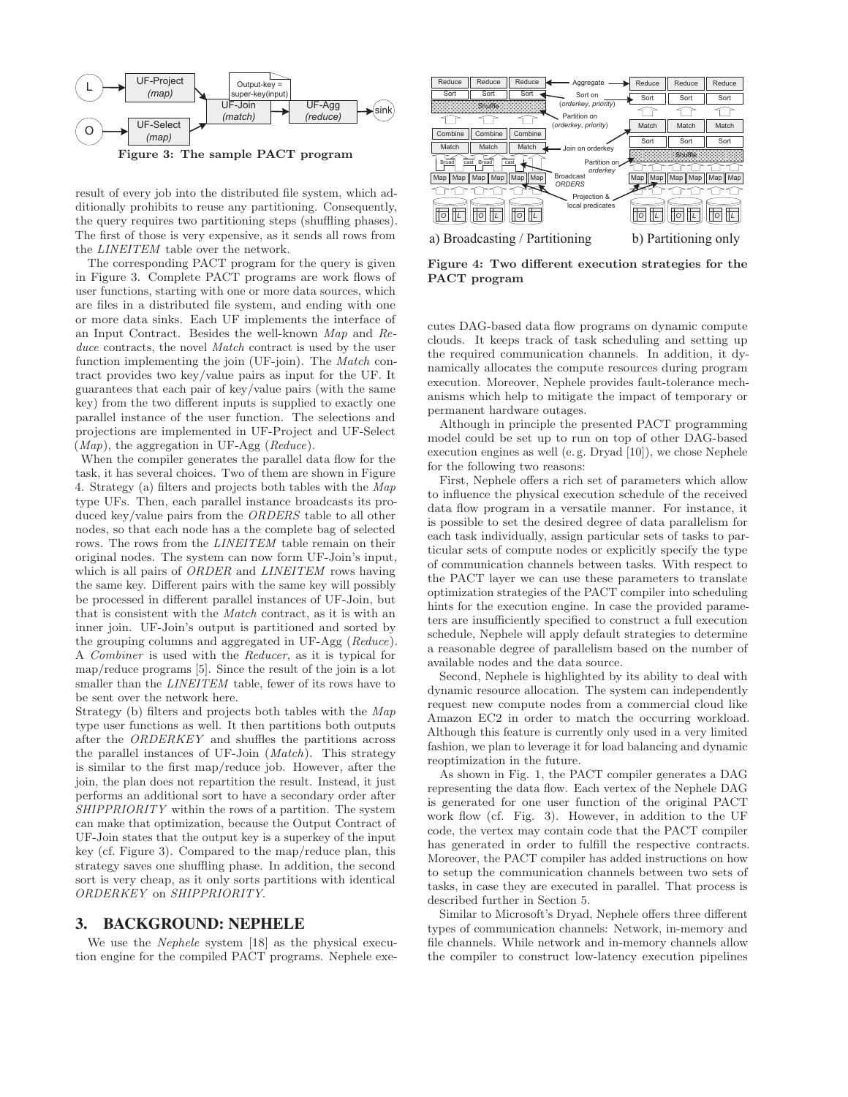

result of every job into the distributed file system, which additionally prohibits to reuse any partitioning. Consequently, the query requires two partitioning steps (shuffling phases). The first of those is very expensive, as it sends all rows from the LINEITEM table over the network.

The corresponding PACT program for the query is given in Figure 3. Complete PACT programs are work flows of user functions, starting with one or more data sources, which are files in a distributed file system, and ending with one or more data sinks. Each UF implements the interface of an Input Contract. Besides the well-known Map and Reduce contracts, the novel *Match* contract is used by the user function implementing the join (UF-join). The Match contract provides two key/value pairs as input for the UF. It guarantees that each pair of key/value pairs (with the same key) from the two different inputs is supplied to exactly one parallel instance of the user function. The selections and projections are implemented in UF-Project and UF-Select  $(Map)$ , the aggregation in UF-Agg (Reduce).

When the compiler generates the parallel data flow for the task, it has several choices. Two of them are shown in Figure 4. Strategy (a) filters and projects both tables with the Map type UFs. Then, each parallel instance broadcasts its produced key/value pairs from the *ORDERS* table to all other nodes, so that each node has a the complete bag of selected rows. The rows from the *LINEITEM* table remain on their original nodes. The system can now form UF-Join's input, which is all pairs of *ORDER* and *LINEITEM* rows having the same key. Different pairs with the same key will possibly be processed in different parallel instances of UF-Join, but that is consistent with the Match contract, as it is with an inner join. UF-Join's output is partitioned and sorted by the grouping columns and aggregated in UF-Agg (Reduce). A Combiner is used with the Reducer, as it is typical for map/reduce programs [5]. Since the result of the join is a lot smaller than the LINEITEM table, fewer of its rows have to be sent over the network here.

Strategy (b) filters and projects both tables with the Map type user functions as well. It then partitions both outputs after the ORDERKEY and shuffles the partitions across the parallel instances of UF-Join (Match). This strategy is similar to the first map/reduce job. However, after the join, the plan does not repartition the result. Instead, it just performs an additional sort to have a secondary order after SHIPPRIORITY within the rows of a partition. The system can make that optimization, because the Output Contract of UF-Join states that the output key is a superkey of the input key (cf. Figure 3). Compared to the map/reduce plan, this strategy saves one shuffling phase. In addition, the second sort is very cheap, as it only sorts partitions with identical ORDERKEY on SHIPPRIORITY.

## 3. BACKGROUND: NEPHELE

We use the Nephele system [18] as the physical execution engine for the compiled PACT programs. Nephele exe-



**Figure 4: Two different execution strategies for the PACT program**

cutes DAG-based data flow programs on dynamic compute clouds. It keeps track of task scheduling and setting up the required communication channels. In addition, it dynamically allocates the compute resources during program execution. Moreover, Nephele provides fault-tolerance mechanisms which help to mitigate the impact of temporary or permanent hardware outages.

Although in principle the presented PACT programming model could be set up to run on top of other DAG-based execution engines as well (e. g. Dryad [10]), we chose Nephele for the following two reasons:

First, Nephele offers a rich set of parameters which allow to influence the physical execution schedule of the received data flow program in a versatile manner. For instance, it is possible to set the desired degree of data parallelism for each task individually, assign particular sets of tasks to particular sets of compute nodes or explicitly specify the type of communication channels between tasks. With respect to the PACT layer we can use these parameters to translate optimization strategies of the PACT compiler into scheduling hints for the execution engine. In case the provided parameters are insufficiently specified to construct a full execution schedule, Nephele will apply default strategies to determine a reasonable degree of parallelism based on the number of available nodes and the data source.

Second, Nephele is highlighted by its ability to deal with dynamic resource allocation. The system can independently request new compute nodes from a commercial cloud like Amazon EC2 in order to match the occurring workload. Although this feature is currently only used in a very limited fashion, we plan to leverage it for load balancing and dynamic reoptimization in the future.

As shown in Fig. 1, the PACT compiler generates a DAG representing the data flow. Each vertex of the Nephele DAG is generated for one user function of the original PACT work flow (cf. Fig. 3). However, in addition to the UF code, the vertex may contain code that the PACT compiler has generated in order to fulfill the respective contracts. Moreover, the PACT compiler has added instructions on how to setup the communication channels between two sets of tasks, in case they are executed in parallel. That process is described further in Section 5.

Similar to Microsoft's Dryad, Nephele offers three different types of communication channels: Network, in-memory and file channels. While network and in-memory channels allow the compiler to construct low-latency execution pipelines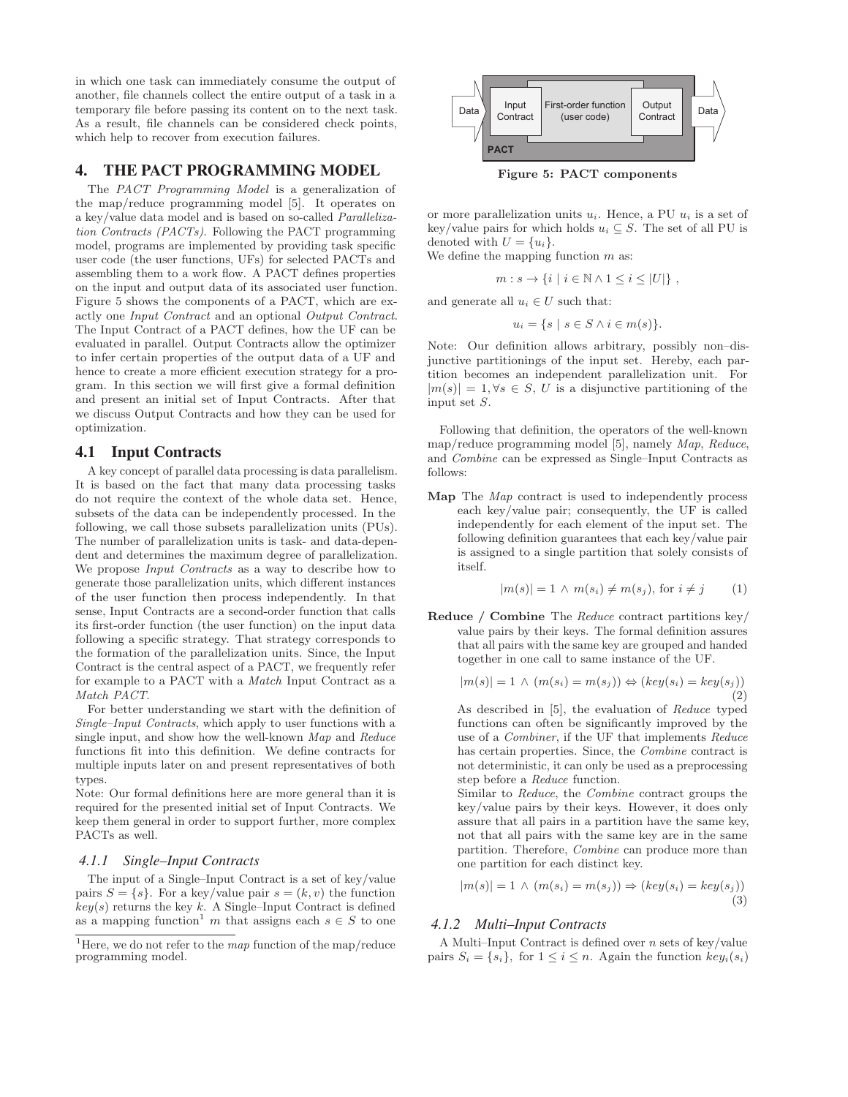in which one task can immediately consume the output of another, file channels collect the entire output of a task in a temporary file before passing its content on to the next task. As a result, file channels can be considered check points, which help to recover from execution failures.

#### 4. THE PACT PROGRAMMING MODEL

The PACT Programming Model is a generalization of the map/reduce programming model [5]. It operates on a key/value data model and is based on so-called Parallelization Contracts (PACTs). Following the PACT programming model, programs are implemented by providing task specific user code (the user functions, UFs) for selected PACTs and assembling them to a work flow. A PACT defines properties on the input and output data of its associated user function. Figure 5 shows the components of a PACT, which are exactly one Input Contract and an optional Output Contract. The Input Contract of a PACT defines, how the UF can be evaluated in parallel. Output Contracts allow the optimizer to infer certain properties of the output data of a UF and hence to create a more efficient execution strategy for a program. In this section we will first give a formal definition and present an initial set of Input Contracts. After that we discuss Output Contracts and how they can be used for optimization.

#### 4.1 Input Contracts

A key concept of parallel data processing is data parallelism. It is based on the fact that many data processing tasks do not require the context of the whole data set. Hence, subsets of the data can be independently processed. In the following, we call those subsets parallelization units (PUs). The number of parallelization units is task- and data-dependent and determines the maximum degree of parallelization. We propose Input Contracts as a way to describe how to generate those parallelization units, which different instances of the user function then process independently. In that sense, Input Contracts are a second-order function that calls its first-order function (the user function) on the input data following a specific strategy. That strategy corresponds to the formation of the parallelization units. Since, the Input Contract is the central aspect of a PACT, we frequently refer for example to a PACT with a Match Input Contract as a Match PACT.

For better understanding we start with the definition of Single–Input Contracts, which apply to user functions with a single input, and show how the well-known Map and Reduce functions fit into this definition. We define contracts for multiple inputs later on and present representatives of both types.

Note: Our formal definitions here are more general than it is required for the presented initial set of Input Contracts. We keep them general in order to support further, more complex PACTs as well.

The input of a Single–Input Contract is a set of key/value pairs  $S = \{s\}$ . For a key/value pair  $s = (k, v)$  the function  $key(s)$  returns the key k. A Single–Input Contract is defined as a mapping function<sup>1</sup> m that assigns each  $s \in S$  to one



**Figure 5: PACT components**

or more parallelization units  $u_i$ . Hence, a PU  $u_i$  is a set of key/value pairs for which holds  $u_i \subseteq S$ . The set of all PU is denoted with  $U = \{u_i\}.$ 

We define the mapping function  $m$  as:

$$
m: s \to \{i \mid i \in \mathbb{N} \land 1 \le i \le |U|\},\
$$

and generate all  $u_i \in U$  such that:

$$
u_i = \{ s \mid s \in S \land i \in m(s) \}.
$$

Note: Our definition allows arbitrary, possibly non–disjunctive partitionings of the input set. Hereby, each partition becomes an independent parallelization unit. For  $|m(s)| = 1, \forall s \in S, U$  is a disjunctive partitioning of the input set S.

Following that definition, the operators of the well-known map/reduce programming model [5], namely Map, Reduce, and Combine can be expressed as Single–Input Contracts as follows:

**Map** The Map contract is used to independently process each key/value pair; consequently, the UF is called independently for each element of the input set. The following definition guarantees that each key/value pair is assigned to a single partition that solely consists of itself.

$$
|m(s)| = 1 \land m(s_i) \neq m(s_j), \text{ for } i \neq j \tag{1}
$$

**Reduce / Combine** The Reduce contract partitions key/ value pairs by their keys. The formal definition assures that all pairs with the same key are grouped and handed together in one call to same instance of the UF.

$$
|m(s)| = 1 \land (m(s_i) = m(s_j)) \Leftrightarrow (key(s_i) = key(s_j))
$$
  
(2)

As described in [5], the evaluation of Reduce typed functions can often be significantly improved by the use of a Combiner, if the UF that implements Reduce has certain properties. Since, the Combine contract is not deterministic, it can only be used as a preprocessing step before a Reduce function.

Similar to Reduce, the Combine contract groups the key/value pairs by their keys. However, it does only assure that all pairs in a partition have the same key, not that all pairs with the same key are in the same partition. Therefore, Combine can produce more than one partition for each distinct key.

$$
|m(s)| = 1 \land (m(s_i) = m(s_j)) \Rightarrow (key(s_i) = key(s_j))
$$
\n(3)

*A Multi–Input Contract is defined over n sets of key/value* pairs  $S_i = \{s_i\}$ , for  $1 \leq i \leq n$ . Again the function  $key_i(s_i)$ 

<sup>&</sup>lt;sup>1</sup>Here, we do not refer to the *map* function of the map/reduce programming model.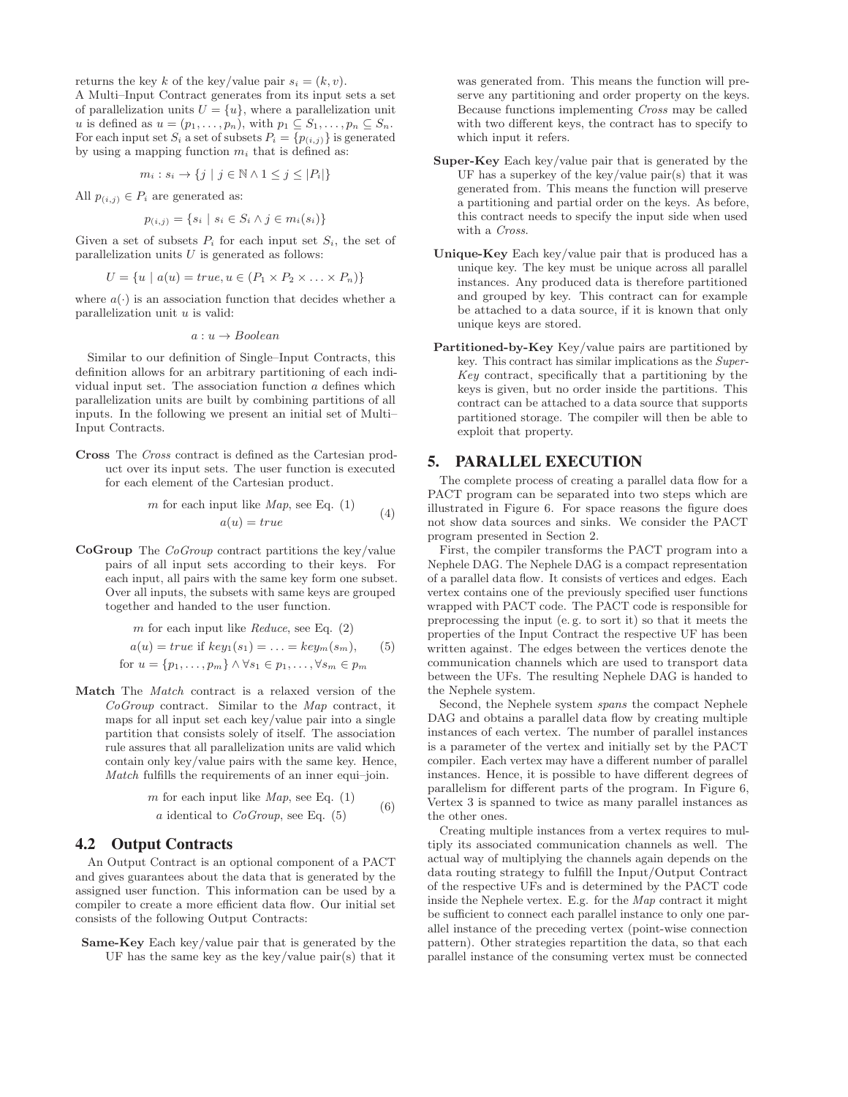returns the key k of the key/value pair  $s_i = (k, v)$ .

A Multi–Input Contract generates from its input sets a set of parallelization units  $U = \{u\}$ , where a parallelization unit u is defined as  $u = (p_1, \ldots, p_n)$ , with  $p_1 \subseteq S_1, \ldots, p_n \subseteq S_n$ . For each input set  $S_i$  a set of subsets  $P_i = \{p_{(i,j)}\}$  is generated by using a mapping function  $m_i$  that is defined as:

$$
m_i : s_i \to \{ j \mid j \in \mathbb{N} \land 1 \le j \le |P_i| \}
$$

All  $p_{(i,j)} \in P_i$  are generated as:

$$
p_{(i,j)} = \{ s_i \mid s_i \in S_i \land j \in m_i(s_i) \}
$$

Given a set of subsets  $P_i$  for each input set  $S_i$ , the set of parallelization units  $U$  is generated as follows:

$$
U = \{u \mid a(u) = true, u \in (P_1 \times P_2 \times \ldots \times P_n)\}
$$

where  $a(\cdot)$  is an association function that decides whether a parallelization unit  $u$  is valid:

$$
a: u \to Boolean
$$

Similar to our definition of Single–Input Contracts, this definition allows for an arbitrary partitioning of each individual input set. The association function a defines which parallelization units are built by combining partitions of all inputs. In the following we present an initial set of Multi– Input Contracts.

**Cross** The Cross contract is defined as the Cartesian product over its input sets. The user function is executed for each element of the Cartesian product.

$$
m \text{ for each input like } Map, \text{ see Eq. (1)}
$$

$$
a(u) = true
$$
 (4)

**CoGroup** The CoGroup contract partitions the key/value pairs of all input sets according to their keys. For each input, all pairs with the same key form one subset. Over all inputs, the subsets with same keys are grouped together and handed to the user function.

*m* for each input like *Reduce*, see Eq. (2)  
\n
$$
a(u) = true
$$
 if  $key_1(s_1) = \ldots = key_m(s_m)$ , (5)  
\nfor  $u = \{p_1, \ldots, p_m\} \land \forall s_1 \in p_1, \ldots, \forall s_m \in p_m$ 

**Match** The Match contract is a relaxed version of the CoGroup contract. Similar to the Map contract, it maps for all input set each key/value pair into a single partition that consists solely of itself. The association rule assures that all parallelization units are valid which contain only key/value pairs with the same key. Hence, Match fulfills the requirements of an inner equi–join.

$$
m \text{ for each input like } Map, \text{ see Eq. (1)}
$$
\n
$$
a \text{ identical to } CoGroup, \text{ see Eq. (5)}
$$
\n
$$
(6)
$$

# 4.2 Output Contracts

An Output Contract is an optional component of a PACT and gives guarantees about the data that is generated by the assigned user function. This information can be used by a compiler to create a more efficient data flow. Our initial set consists of the following Output Contracts:

**Same-Key** Each key/value pair that is generated by the UF has the same key as the key/value pair(s) that it was generated from. This means the function will preserve any partitioning and order property on the keys. Because functions implementing Cross may be called with two different keys, the contract has to specify to which input it refers.

- **Super-Key** Each key/value pair that is generated by the UF has a superkey of the key/value pair(s) that it was generated from. This means the function will preserve a partitioning and partial order on the keys. As before, this contract needs to specify the input side when used with a Cross.
- **Unique-Key** Each key/value pair that is produced has a unique key. The key must be unique across all parallel instances. Any produced data is therefore partitioned and grouped by key. This contract can for example be attached to a data source, if it is known that only unique keys are stored.
- **Partitioned-by-Key** Key/value pairs are partitioned by key. This contract has similar implications as the Super-Key contract, specifically that a partitioning by the keys is given, but no order inside the partitions. This contract can be attached to a data source that supports partitioned storage. The compiler will then be able to exploit that property.

#### 5. PARALLEL EXECUTION

The complete process of creating a parallel data flow for a PACT program can be separated into two steps which are illustrated in Figure 6. For space reasons the figure does not show data sources and sinks. We consider the PACT program presented in Section 2.

First, the compiler transforms the PACT program into a Nephele DAG. The Nephele DAG is a compact representation of a parallel data flow. It consists of vertices and edges. Each vertex contains one of the previously specified user functions wrapped with PACT code. The PACT code is responsible for preprocessing the input (e. g. to sort it) so that it meets the properties of the Input Contract the respective UF has been written against. The edges between the vertices denote the communication channels which are used to transport data between the UFs. The resulting Nephele DAG is handed to the Nephele system.

Second, the Nephele system spans the compact Nephele DAG and obtains a parallel data flow by creating multiple instances of each vertex. The number of parallel instances is a parameter of the vertex and initially set by the PACT compiler. Each vertex may have a different number of parallel instances. Hence, it is possible to have different degrees of parallelism for different parts of the program. In Figure 6, Vertex 3 is spanned to twice as many parallel instances as the other ones.

Creating multiple instances from a vertex requires to multiply its associated communication channels as well. The actual way of multiplying the channels again depends on the data routing strategy to fulfill the Input/Output Contract of the respective UFs and is determined by the PACT code inside the Nephele vertex. E.g. for the Map contract it might be sufficient to connect each parallel instance to only one parallel instance of the preceding vertex (point-wise connection pattern). Other strategies repartition the data, so that each parallel instance of the consuming vertex must be connected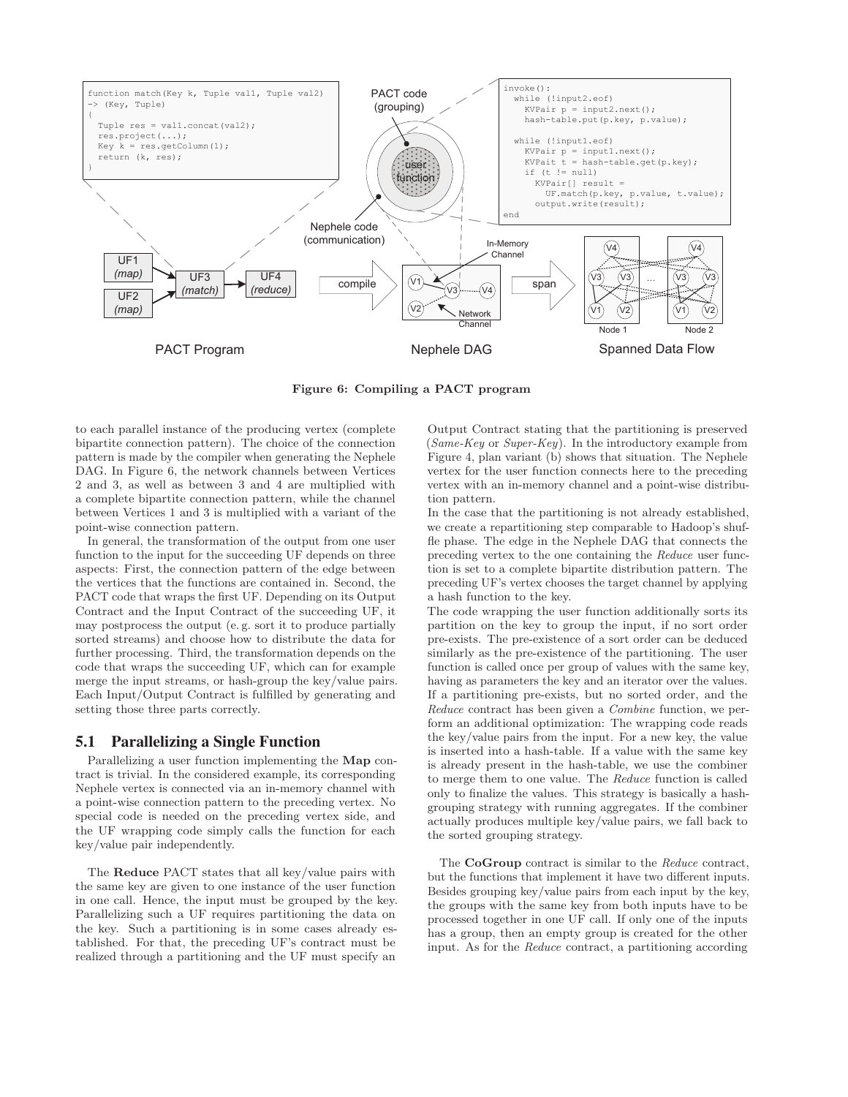

**Figure 6: Compiling a PACT program**

to each parallel instance of the producing vertex (complete bipartite connection pattern). The choice of the connection pattern is made by the compiler when generating the Nephele DAG. In Figure 6, the network channels between Vertices 2 and 3, as well as between 3 and 4 are multiplied with a complete bipartite connection pattern, while the channel between Vertices 1 and 3 is multiplied with a variant of the point-wise connection pattern.

In general, the transformation of the output from one user function to the input for the succeeding UF depends on three aspects: First, the connection pattern of the edge between the vertices that the functions are contained in. Second, the PACT code that wraps the first UF. Depending on its Output Contract and the Input Contract of the succeeding UF, it may postprocess the output (e. g. sort it to produce partially sorted streams) and choose how to distribute the data for further processing. Third, the transformation depends on the code that wraps the succeeding UF, which can for example merge the input streams, or hash-group the key/value pairs. Each Input/Output Contract is fulfilled by generating and setting those three parts correctly.

# 5.1 Parallelizing a Single Function

Parallelizing a user function implementing the **Map** contract is trivial. In the considered example, its corresponding Nephele vertex is connected via an in-memory channel with a point-wise connection pattern to the preceding vertex. No special code is needed on the preceding vertex side, and the UF wrapping code simply calls the function for each key/value pair independently.

The **Reduce** PACT states that all key/value pairs with the same key are given to one instance of the user function in one call. Hence, the input must be grouped by the key. Parallelizing such a UF requires partitioning the data on the key. Such a partitioning is in some cases already established. For that, the preceding UF's contract must be realized through a partitioning and the UF must specify an

Output Contract stating that the partitioning is preserved (Same-Key or Super-Key). In the introductory example from Figure 4, plan variant (b) shows that situation. The Nephele vertex for the user function connects here to the preceding vertex with an in-memory channel and a point-wise distribution pattern.

In the case that the partitioning is not already established, we create a repartitioning step comparable to Hadoop's shuffle phase. The edge in the Nephele DAG that connects the preceding vertex to the one containing the Reduce user function is set to a complete bipartite distribution pattern. The preceding UF's vertex chooses the target channel by applying a hash function to the key.

The code wrapping the user function additionally sorts its partition on the key to group the input, if no sort order pre-exists. The pre-existence of a sort order can be deduced similarly as the pre-existence of the partitioning. The user function is called once per group of values with the same key, having as parameters the key and an iterator over the values. If a partitioning pre-exists, but no sorted order, and the Reduce contract has been given a Combine function, we perform an additional optimization: The wrapping code reads the key/value pairs from the input. For a new key, the value is inserted into a hash-table. If a value with the same key is already present in the hash-table, we use the combiner to merge them to one value. The Reduce function is called only to finalize the values. This strategy is basically a hashgrouping strategy with running aggregates. If the combiner actually produces multiple key/value pairs, we fall back to the sorted grouping strategy.

The **CoGroup** contract is similar to the Reduce contract, but the functions that implement it have two different inputs. Besides grouping key/value pairs from each input by the key, the groups with the same key from both inputs have to be processed together in one UF call. If only one of the inputs has a group, then an empty group is created for the other input. As for the Reduce contract, a partitioning according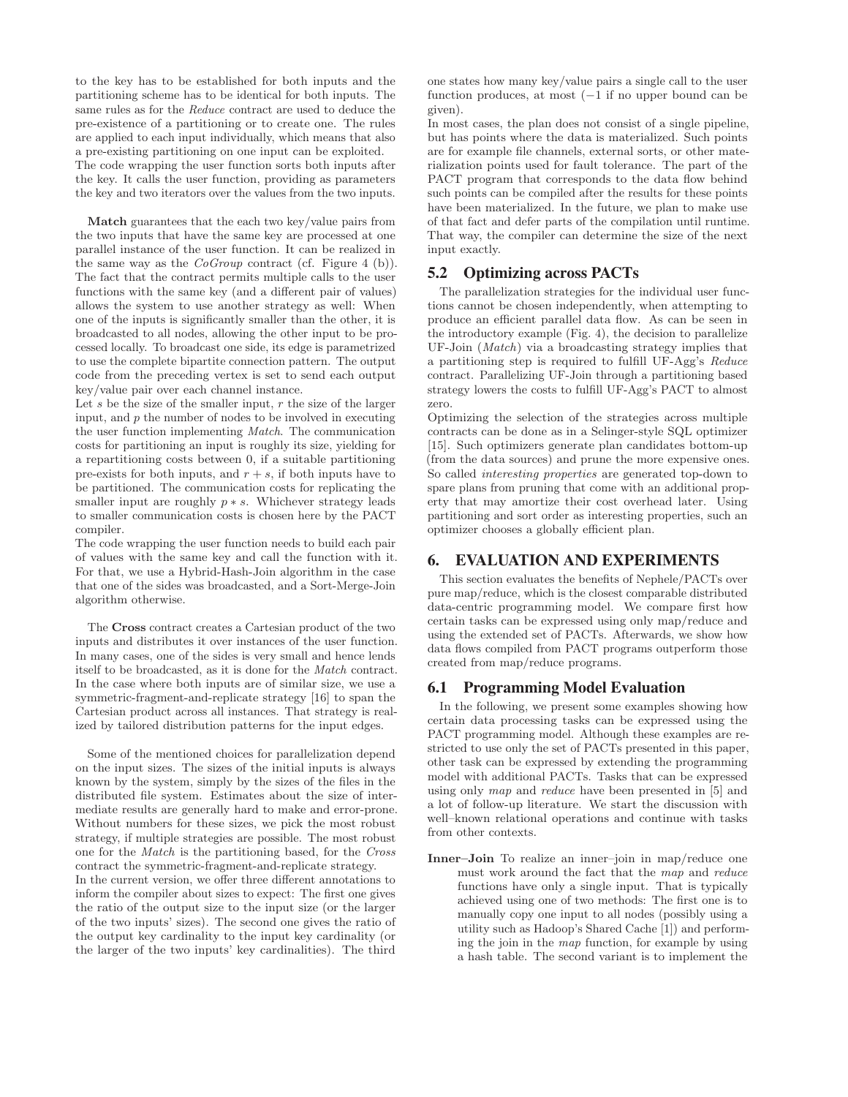to the key has to be established for both inputs and the partitioning scheme has to be identical for both inputs. The same rules as for the Reduce contract are used to deduce the pre-existence of a partitioning or to create one. The rules are applied to each input individually, which means that also a pre-existing partitioning on one input can be exploited.

The code wrapping the user function sorts both inputs after the key. It calls the user function, providing as parameters the key and two iterators over the values from the two inputs.

**Match** guarantees that the each two key/value pairs from the two inputs that have the same key are processed at one parallel instance of the user function. It can be realized in the same way as the  $CoGroup$  contract (cf. Figure 4 (b)). The fact that the contract permits multiple calls to the user functions with the same key (and a different pair of values) allows the system to use another strategy as well: When one of the inputs is significantly smaller than the other, it is broadcasted to all nodes, allowing the other input to be processed locally. To broadcast one side, its edge is parametrized to use the complete bipartite connection pattern. The output code from the preceding vertex is set to send each output key/value pair over each channel instance.

Let  $s$  be the size of the smaller input,  $r$  the size of the larger input, and  $p$  the number of nodes to be involved in executing the user function implementing Match. The communication costs for partitioning an input is roughly its size, yielding for a repartitioning costs between 0, if a suitable partitioning pre-exists for both inputs, and  $r + s$ , if both inputs have to be partitioned. The communication costs for replicating the smaller input are roughly  $p * s$ . Whichever strategy leads to smaller communication costs is chosen here by the PACT compiler.

The code wrapping the user function needs to build each pair of values with the same key and call the function with it. For that, we use a Hybrid-Hash-Join algorithm in the case that one of the sides was broadcasted, and a Sort-Merge-Join algorithm otherwise.

The **Cross** contract creates a Cartesian product of the two inputs and distributes it over instances of the user function. In many cases, one of the sides is very small and hence lends itself to be broadcasted, as it is done for the Match contract. In the case where both inputs are of similar size, we use a symmetric-fragment-and-replicate strategy [16] to span the Cartesian product across all instances. That strategy is realized by tailored distribution patterns for the input edges.

Some of the mentioned choices for parallelization depend on the input sizes. The sizes of the initial inputs is always known by the system, simply by the sizes of the files in the distributed file system. Estimates about the size of intermediate results are generally hard to make and error-prone. Without numbers for these sizes, we pick the most robust strategy, if multiple strategies are possible. The most robust one for the Match is the partitioning based, for the Cross contract the symmetric-fragment-and-replicate strategy.

In the current version, we offer three different annotations to inform the compiler about sizes to expect: The first one gives the ratio of the output size to the input size (or the larger of the two inputs' sizes). The second one gives the ratio of the output key cardinality to the input key cardinality (or the larger of the two inputs' key cardinalities). The third

one states how many key/value pairs a single call to the user function produces, at most (−1 if no upper bound can be given).

In most cases, the plan does not consist of a single pipeline, but has points where the data is materialized. Such points are for example file channels, external sorts, or other materialization points used for fault tolerance. The part of the PACT program that corresponds to the data flow behind such points can be compiled after the results for these points have been materialized. In the future, we plan to make use of that fact and defer parts of the compilation until runtime. That way, the compiler can determine the size of the next input exactly.

## 5.2 Optimizing across PACTs

The parallelization strategies for the individual user functions cannot be chosen independently, when attempting to produce an efficient parallel data flow. As can be seen in the introductory example (Fig. 4), the decision to parallelize UF-Join (Match) via a broadcasting strategy implies that a partitioning step is required to fulfill UF-Agg's Reduce contract. Parallelizing UF-Join through a partitioning based strategy lowers the costs to fulfill UF-Agg's PACT to almost zero.

Optimizing the selection of the strategies across multiple contracts can be done as in a Selinger-style SQL optimizer [15]. Such optimizers generate plan candidates bottom-up (from the data sources) and prune the more expensive ones. So called interesting properties are generated top-down to spare plans from pruning that come with an additional property that may amortize their cost overhead later. Using partitioning and sort order as interesting properties, such an optimizer chooses a globally efficient plan.

# 6. EVALUATION AND EXPERIMENTS

This section evaluates the benefits of Nephele/PACTs over pure map/reduce, which is the closest comparable distributed data-centric programming model. We compare first how certain tasks can be expressed using only map/reduce and using the extended set of PACTs. Afterwards, we show how data flows compiled from PACT programs outperform those created from map/reduce programs.

#### 6.1 Programming Model Evaluation

In the following, we present some examples showing how certain data processing tasks can be expressed using the PACT programming model. Although these examples are restricted to use only the set of PACTs presented in this paper, other task can be expressed by extending the programming model with additional PACTs. Tasks that can be expressed using only map and reduce have been presented in [5] and a lot of follow-up literature. We start the discussion with well–known relational operations and continue with tasks from other contexts.

**Inner–Join** To realize an inner–join in map/reduce one must work around the fact that the map and reduce functions have only a single input. That is typically achieved using one of two methods: The first one is to manually copy one input to all nodes (possibly using a utility such as Hadoop's Shared Cache [1]) and performing the join in the map function, for example by using a hash table. The second variant is to implement the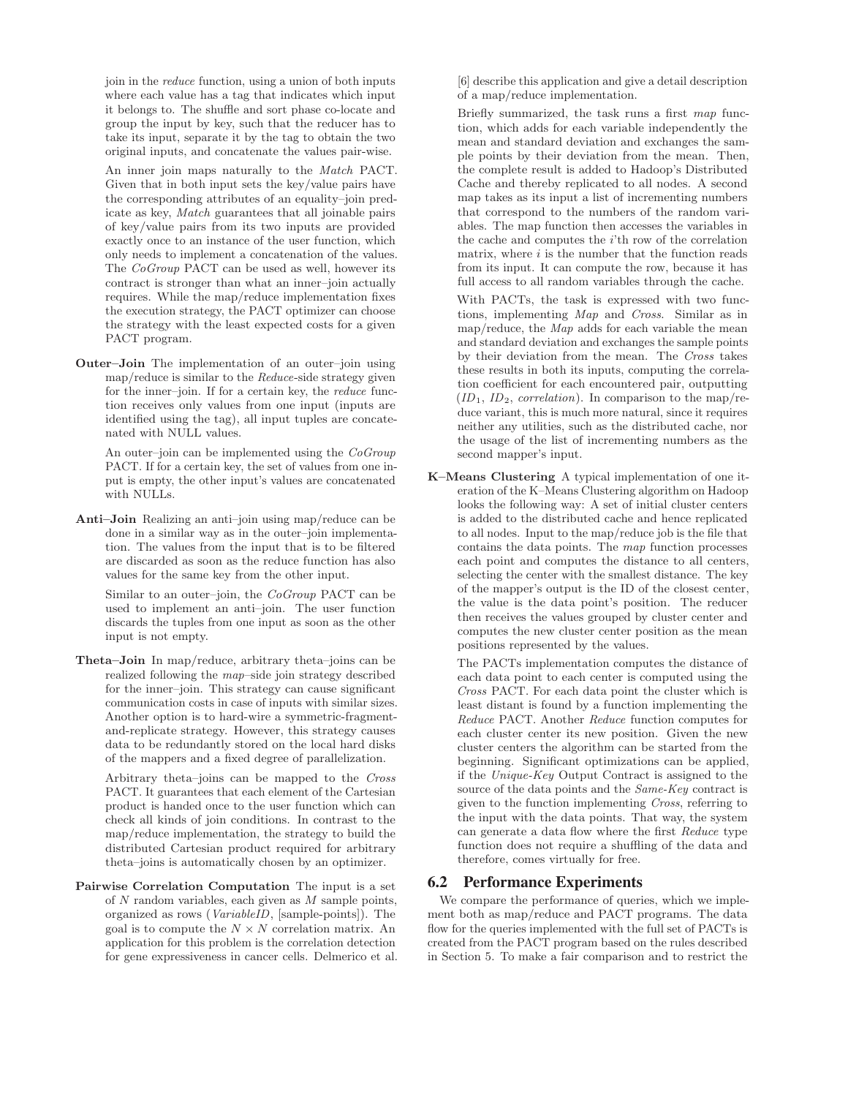join in the reduce function, using a union of both inputs where each value has a tag that indicates which input it belongs to. The shuffle and sort phase co-locate and group the input by key, such that the reducer has to take its input, separate it by the tag to obtain the two original inputs, and concatenate the values pair-wise.

An inner join maps naturally to the Match PACT. Given that in both input sets the key/value pairs have the corresponding attributes of an equality–join predicate as key, Match guarantees that all joinable pairs of key/value pairs from its two inputs are provided exactly once to an instance of the user function, which only needs to implement a concatenation of the values. The CoGroup PACT can be used as well, however its contract is stronger than what an inner–join actually requires. While the map/reduce implementation fixes the execution strategy, the PACT optimizer can choose the strategy with the least expected costs for a given PACT program.

**Outer–Join** The implementation of an outer–join using map/reduce is similar to the Reduce-side strategy given for the inner–join. If for a certain key, the reduce function receives only values from one input (inputs are identified using the tag), all input tuples are concatenated with NULL values.

An outer–join can be implemented using the CoGroup PACT. If for a certain key, the set of values from one input is empty, the other input's values are concatenated with NULLs.

**Anti–Join** Realizing an anti–join using map/reduce can be done in a similar way as in the outer–join implementation. The values from the input that is to be filtered are discarded as soon as the reduce function has also values for the same key from the other input.

Similar to an outer–join, the CoGroup PACT can be used to implement an anti–join. The user function discards the tuples from one input as soon as the other input is not empty.

**Theta–Join** In map/reduce, arbitrary theta–joins can be realized following the map–side join strategy described for the inner–join. This strategy can cause significant communication costs in case of inputs with similar sizes. Another option is to hard-wire a symmetric-fragmentand-replicate strategy. However, this strategy causes data to be redundantly stored on the local hard disks of the mappers and a fixed degree of parallelization.

Arbitrary theta–joins can be mapped to the Cross PACT. It guarantees that each element of the Cartesian product is handed once to the user function which can check all kinds of join conditions. In contrast to the map/reduce implementation, the strategy to build the distributed Cartesian product required for arbitrary theta–joins is automatically chosen by an optimizer.

**Pairwise Correlation Computation** The input is a set of  $N$  random variables, each given as  $M$  sample points, organized as rows (VariableID, [sample-points]). The goal is to compute the  $N \times N$  correlation matrix. An application for this problem is the correlation detection for gene expressiveness in cancer cells. Delmerico et al. [6] describe this application and give a detail description of a map/reduce implementation.

Briefly summarized, the task runs a first map function, which adds for each variable independently the mean and standard deviation and exchanges the sample points by their deviation from the mean. Then, the complete result is added to Hadoop's Distributed Cache and thereby replicated to all nodes. A second map takes as its input a list of incrementing numbers that correspond to the numbers of the random variables. The map function then accesses the variables in the cache and computes the  $i$ <sup>th</sup> row of the correlation matrix, where  $i$  is the number that the function reads from its input. It can compute the row, because it has full access to all random variables through the cache.

With PACTs, the task is expressed with two functions, implementing Map and Cross. Similar as in map/reduce, the  $Map$  adds for each variable the mean and standard deviation and exchanges the sample points by their deviation from the mean. The Cross takes these results in both its inputs, computing the correlation coefficient for each encountered pair, outputting  $(ID_1, ID_2, correlation)$ . In comparison to the map/reduce variant, this is much more natural, since it requires neither any utilities, such as the distributed cache, nor the usage of the list of incrementing numbers as the second mapper's input.

**K–Means Clustering** A typical implementation of one iteration of the K–Means Clustering algorithm on Hadoop looks the following way: A set of initial cluster centers is added to the distributed cache and hence replicated to all nodes. Input to the map/reduce job is the file that contains the data points. The map function processes each point and computes the distance to all centers, selecting the center with the smallest distance. The key of the mapper's output is the ID of the closest center, the value is the data point's position. The reducer then receives the values grouped by cluster center and computes the new cluster center position as the mean positions represented by the values.

The PACTs implementation computes the distance of each data point to each center is computed using the Cross PACT. For each data point the cluster which is least distant is found by a function implementing the Reduce PACT. Another Reduce function computes for each cluster center its new position. Given the new cluster centers the algorithm can be started from the beginning. Significant optimizations can be applied, if the Unique-Key Output Contract is assigned to the source of the data points and the Same-Key contract is given to the function implementing Cross, referring to the input with the data points. That way, the system can generate a data flow where the first Reduce type function does not require a shuffling of the data and therefore, comes virtually for free.

## 6.2 Performance Experiments

We compare the performance of queries, which we implement both as map/reduce and PACT programs. The data flow for the queries implemented with the full set of PACTs is created from the PACT program based on the rules described in Section 5. To make a fair comparison and to restrict the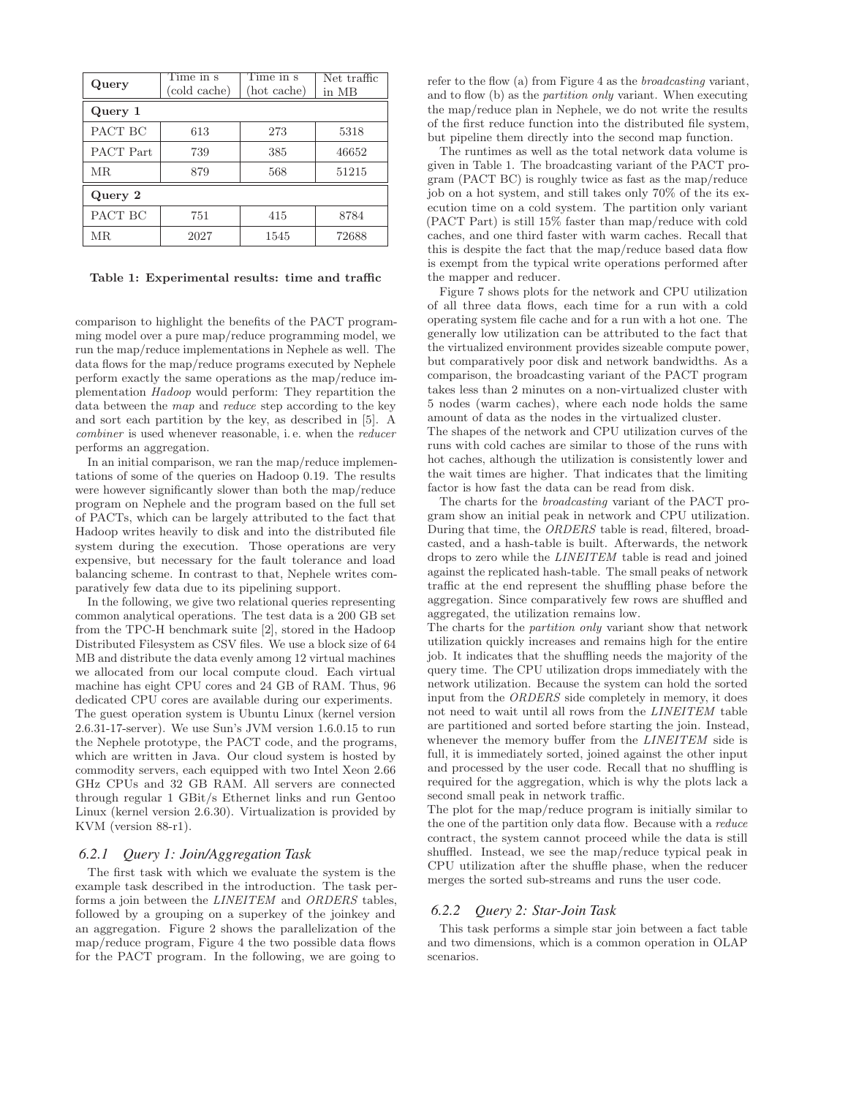| Query     | Time in s    | Time in s   | Net traffic |
|-----------|--------------|-------------|-------------|
|           | (cold cache) | (hot cache) | in MB       |
| Query 1   |              |             |             |
| PACT BC   | 613          | 273         | 5318        |
| PACT Part | 739          | 385         | 46652       |
| MR.       | 879          | 568         | 51215       |
| Query 2   |              |             |             |
| PACT BC   | 751          | 415         | 8784        |
| МR        | 2027         | 1545        | 72688       |

**Table 1: Experimental results: time and traffic**

comparison to highlight the benefits of the PACT programming model over a pure map/reduce programming model, we run the map/reduce implementations in Nephele as well. The data flows for the map/reduce programs executed by Nephele perform exactly the same operations as the map/reduce implementation Hadoop would perform: They repartition the data between the map and reduce step according to the key and sort each partition by the key, as described in [5]. A combiner is used whenever reasonable, i. e. when the reducer performs an aggregation.

In an initial comparison, we ran the map/reduce implementations of some of the queries on Hadoop 0.19. The results were however significantly slower than both the map/reduce program on Nephele and the program based on the full set of PACTs, which can be largely attributed to the fact that Hadoop writes heavily to disk and into the distributed file system during the execution. Those operations are very expensive, but necessary for the fault tolerance and load balancing scheme. In contrast to that, Nephele writes comparatively few data due to its pipelining support.

In the following, we give two relational queries representing common analytical operations. The test data is a 200 GB set from the TPC-H benchmark suite [2], stored in the Hadoop Distributed Filesystem as CSV files. We use a block size of 64 MB and distribute the data evenly among 12 virtual machines we allocated from our local compute cloud. Each virtual machine has eight CPU cores and 24 GB of RAM. Thus, 96 dedicated CPU cores are available during our experiments. The guest operation system is Ubuntu Linux (kernel version 2.6.31-17-server). We use Sun's JVM version 1.6.0.15 to run the Nephele prototype, the PACT code, and the programs, which are written in Java. Our cloud system is hosted by commodity servers, each equipped with two Intel Xeon 2.66 GHz CPUs and 32 GB RAM. All servers are connected through regular 1 GBit/s Ethernet links and run Gentoo Linux (kernel version 2.6.30). Virtualization is provided by KVM (version 88-r1).

The first task with which we evaluate the system is the example task described in the introduction. The task performs a join between the LINEITEM and ORDERS tables, followed by a grouping on a superkey of the joinkey and an aggregation. Figure 2 shows the parallelization of the map/reduce program, Figure 4 the two possible data flows for the PACT program. In the following, we are going to

refer to the flow (a) from Figure 4 as the broadcasting variant, and to flow (b) as the partition only variant. When executing the map/reduce plan in Nephele, we do not write the results of the first reduce function into the distributed file system, but pipeline them directly into the second map function.

The runtimes as well as the total network data volume is given in Table 1. The broadcasting variant of the PACT program (PACT BC) is roughly twice as fast as the map/reduce job on a hot system, and still takes only 70% of the its execution time on a cold system. The partition only variant (PACT Part) is still 15% faster than map/reduce with cold caches, and one third faster with warm caches. Recall that this is despite the fact that the map/reduce based data flow is exempt from the typical write operations performed after the mapper and reducer.

Figure 7 shows plots for the network and CPU utilization of all three data flows, each time for a run with a cold operating system file cache and for a run with a hot one. The generally low utilization can be attributed to the fact that the virtualized environment provides sizeable compute power, but comparatively poor disk and network bandwidths. As a comparison, the broadcasting variant of the PACT program takes less than 2 minutes on a non-virtualized cluster with 5 nodes (warm caches), where each node holds the same amount of data as the nodes in the virtualized cluster.

The shapes of the network and CPU utilization curves of the runs with cold caches are similar to those of the runs with hot caches, although the utilization is consistently lower and the wait times are higher. That indicates that the limiting factor is how fast the data can be read from disk.

The charts for the broadcasting variant of the PACT program show an initial peak in network and CPU utilization. During that time, the ORDERS table is read, filtered, broadcasted, and a hash-table is built. Afterwards, the network drops to zero while the LINEITEM table is read and joined against the replicated hash-table. The small peaks of network traffic at the end represent the shuffling phase before the aggregation. Since comparatively few rows are shuffled and aggregated, the utilization remains low.

The charts for the partition only variant show that network utilization quickly increases and remains high for the entire job. It indicates that the shuffling needs the majority of the query time. The CPU utilization drops immediately with the network utilization. Because the system can hold the sorted input from the ORDERS side completely in memory, it does not need to wait until all rows from the LINEITEM table are partitioned and sorted before starting the join. Instead, whenever the memory buffer from the LINEITEM side is full, it is immediately sorted, joined against the other input and processed by the user code. Recall that no shuffling is required for the aggregation, which is why the plots lack a second small peak in network traffic.

The plot for the map/reduce program is initially similar to the one of the partition only data flow. Because with a reduce contract, the system cannot proceed while the data is still shuffled. Instead, we see the map/reduce typical peak in CPU utilization after the shuffle phase, when the reducer merges the sorted sub-streams and runs the user code.

This task performs a simple star-join between a fact table and two dimensions, which is a common operation in OLAP scenarios.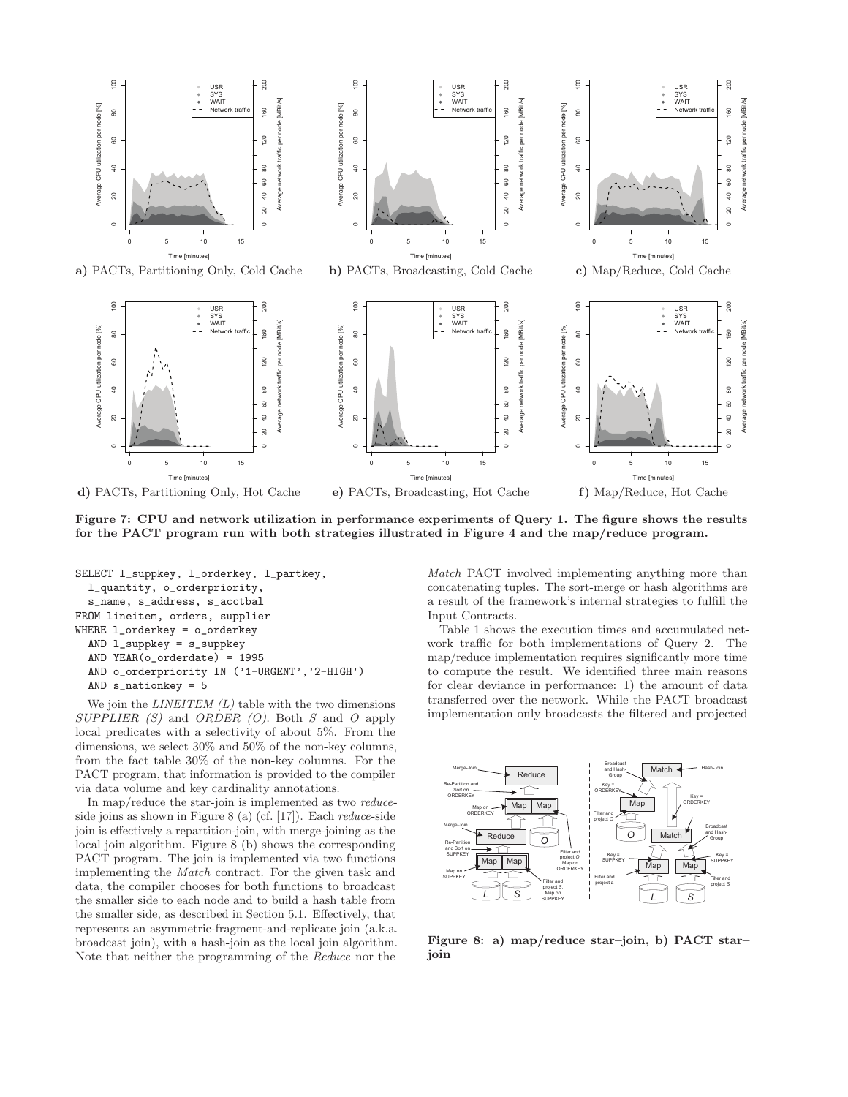

**Figure 7: CPU and network utilization in performance experiments of Query 1. The figure shows the results for the PACT program run with both strategies illustrated in Figure 4 and the map/reduce program.**

```
SELECT l_suppkey, l_orderkey, l_partkey,
  l_quantity, o_orderpriority,
  s_name, s_address, s_acctbal
FROM lineitem, orders, supplier
WHERE l_orderkey = o_orderkey
  AND l_suppkey = s_suppkey
  AND YEAR(o_orderdate) = 1995
  AND o_orderpriority IN ('1-URGENT','2-HIGH')
  AND s_nationkey = 5
```
We join the *LINEITEM*  $(L)$  table with the two dimensions  $SUPPLIER(S)$  and  $ORDER (O)$ . Both S and O apply local predicates with a selectivity of about 5%. From the dimensions, we select 30% and 50% of the non-key columns, from the fact table 30% of the non-key columns. For the PACT program, that information is provided to the compiler via data volume and key cardinality annotations.

In map/reduce the star-join is implemented as two reduceside joins as shown in Figure 8 (a) (cf. [17]). Each reduce-side join is effectively a repartition-join, with merge-joining as the local join algorithm. Figure 8 (b) shows the corresponding PACT program. The join is implemented via two functions implementing the Match contract. For the given task and data, the compiler chooses for both functions to broadcast the smaller side to each node and to build a hash table from the smaller side, as described in Section 5.1. Effectively, that represents an asymmetric-fragment-and-replicate join (a.k.a. broadcast join), with a hash-join as the local join algorithm. Note that neither the programming of the Reduce nor the

Match PACT involved implementing anything more than concatenating tuples. The sort-merge or hash algorithms are a result of the framework's internal strategies to fulfill the Input Contracts.

Table 1 shows the execution times and accumulated network traffic for both implementations of Query 2. The map/reduce implementation requires significantly more time to compute the result. We identified three main reasons for clear deviance in performance: 1) the amount of data transferred over the network. While the PACT broadcast implementation only broadcasts the filtered and projected



**Figure 8: a) map/reduce star–join, b) PACT star– join**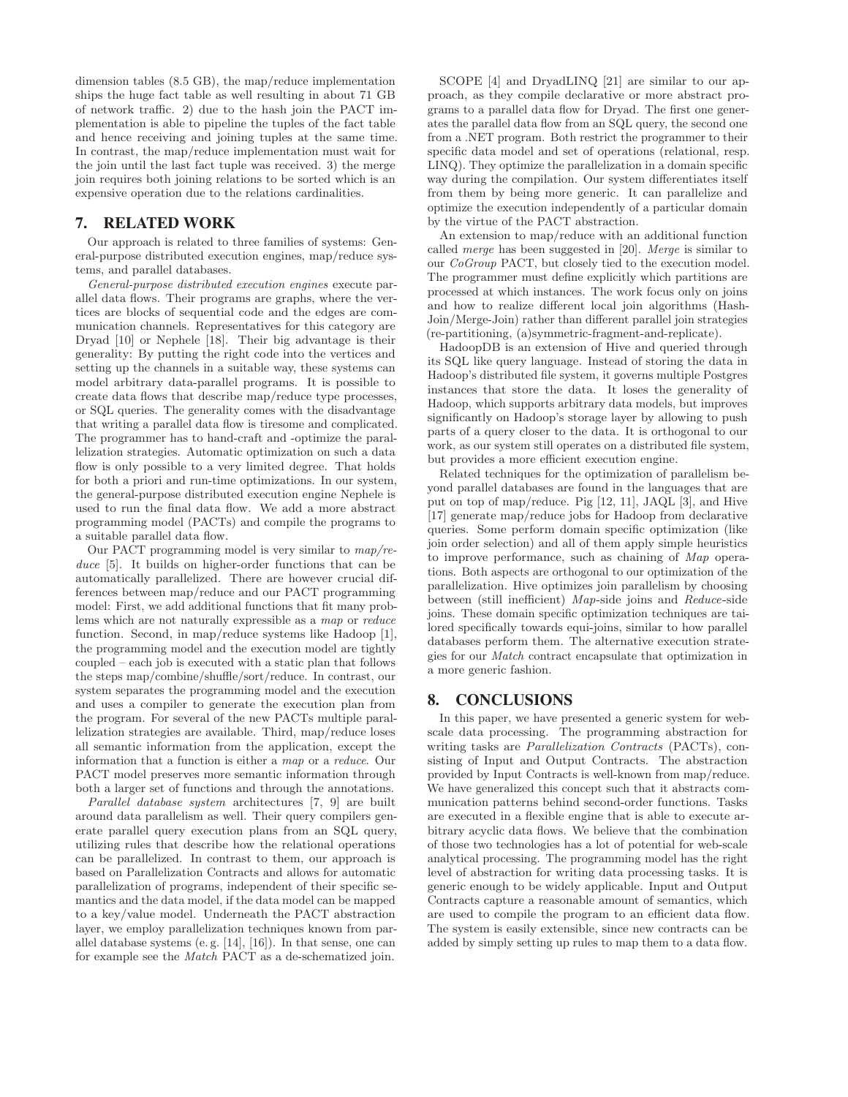dimension tables (8.5 GB), the map/reduce implementation ships the huge fact table as well resulting in about 71 GB of network traffic. 2) due to the hash join the PACT implementation is able to pipeline the tuples of the fact table and hence receiving and joining tuples at the same time. In contrast, the map/reduce implementation must wait for the join until the last fact tuple was received. 3) the merge join requires both joining relations to be sorted which is an expensive operation due to the relations cardinalities.

# 7. RELATED WORK

Our approach is related to three families of systems: General-purpose distributed execution engines, map/reduce systems, and parallel databases.

General-purpose distributed execution engines execute parallel data flows. Their programs are graphs, where the vertices are blocks of sequential code and the edges are communication channels. Representatives for this category are Dryad [10] or Nephele [18]. Their big advantage is their generality: By putting the right code into the vertices and setting up the channels in a suitable way, these systems can model arbitrary data-parallel programs. It is possible to create data flows that describe map/reduce type processes, or SQL queries. The generality comes with the disadvantage that writing a parallel data flow is tiresome and complicated. The programmer has to hand-craft and -optimize the parallelization strategies. Automatic optimization on such a data flow is only possible to a very limited degree. That holds for both a priori and run-time optimizations. In our system, the general-purpose distributed execution engine Nephele is used to run the final data flow. We add a more abstract programming model (PACTs) and compile the programs to a suitable parallel data flow.

Our PACT programming model is very similar to map/reduce [5]. It builds on higher-order functions that can be automatically parallelized. There are however crucial differences between map/reduce and our PACT programming model: First, we add additional functions that fit many problems which are not naturally expressible as a map or reduce function. Second, in map/reduce systems like Hadoop [1], the programming model and the execution model are tightly coupled – each job is executed with a static plan that follows the steps map/combine/shuffle/sort/reduce. In contrast, our system separates the programming model and the execution and uses a compiler to generate the execution plan from the program. For several of the new PACTs multiple parallelization strategies are available. Third, map/reduce loses all semantic information from the application, except the information that a function is either a map or a reduce. Our PACT model preserves more semantic information through both a larger set of functions and through the annotations.

Parallel database system architectures [7, 9] are built around data parallelism as well. Their query compilers generate parallel query execution plans from an SQL query, utilizing rules that describe how the relational operations can be parallelized. In contrast to them, our approach is based on Parallelization Contracts and allows for automatic parallelization of programs, independent of their specific semantics and the data model, if the data model can be mapped to a key/value model. Underneath the PACT abstraction layer, we employ parallelization techniques known from parallel database systems (e. g. [14], [16]). In that sense, one can for example see the Match PACT as a de-schematized join.

SCOPE [4] and DryadLINQ [21] are similar to our approach, as they compile declarative or more abstract programs to a parallel data flow for Dryad. The first one generates the parallel data flow from an SQL query, the second one from a .NET program. Both restrict the programmer to their specific data model and set of operations (relational, resp. LINQ). They optimize the parallelization in a domain specific way during the compilation. Our system differentiates itself from them by being more generic. It can parallelize and optimize the execution independently of a particular domain by the virtue of the PACT abstraction.

An extension to map/reduce with an additional function called merge has been suggested in [20]. Merge is similar to our CoGroup PACT, but closely tied to the execution model. The programmer must define explicitly which partitions are processed at which instances. The work focus only on joins and how to realize different local join algorithms (Hash-Join/Merge-Join) rather than different parallel join strategies (re-partitioning, (a)symmetric-fragment-and-replicate).

HadoopDB is an extension of Hive and queried through its SQL like query language. Instead of storing the data in Hadoop's distributed file system, it governs multiple Postgres instances that store the data. It loses the generality of Hadoop, which supports arbitrary data models, but improves significantly on Hadoop's storage layer by allowing to push parts of a query closer to the data. It is orthogonal to our work, as our system still operates on a distributed file system, but provides a more efficient execution engine.

Related techniques for the optimization of parallelism beyond parallel databases are found in the languages that are put on top of map/reduce. Pig [12, 11], JAQL [3], and Hive [17] generate map/reduce jobs for Hadoop from declarative queries. Some perform domain specific optimization (like join order selection) and all of them apply simple heuristics to improve performance, such as chaining of Map operations. Both aspects are orthogonal to our optimization of the parallelization. Hive optimizes join parallelism by choosing between (still inefficient) Map-side joins and Reduce-side joins. These domain specific optimization techniques are tailored specifically towards equi-joins, similar to how parallel databases perform them. The alternative execution strategies for our Match contract encapsulate that optimization in a more generic fashion.

# 8. CONCLUSIONS

In this paper, we have presented a generic system for webscale data processing. The programming abstraction for writing tasks are Parallelization Contracts (PACTs), consisting of Input and Output Contracts. The abstraction provided by Input Contracts is well-known from map/reduce. We have generalized this concept such that it abstracts communication patterns behind second-order functions. Tasks are executed in a flexible engine that is able to execute arbitrary acyclic data flows. We believe that the combination of those two technologies has a lot of potential for web-scale analytical processing. The programming model has the right level of abstraction for writing data processing tasks. It is generic enough to be widely applicable. Input and Output Contracts capture a reasonable amount of semantics, which are used to compile the program to an efficient data flow. The system is easily extensible, since new contracts can be added by simply setting up rules to map them to a data flow.